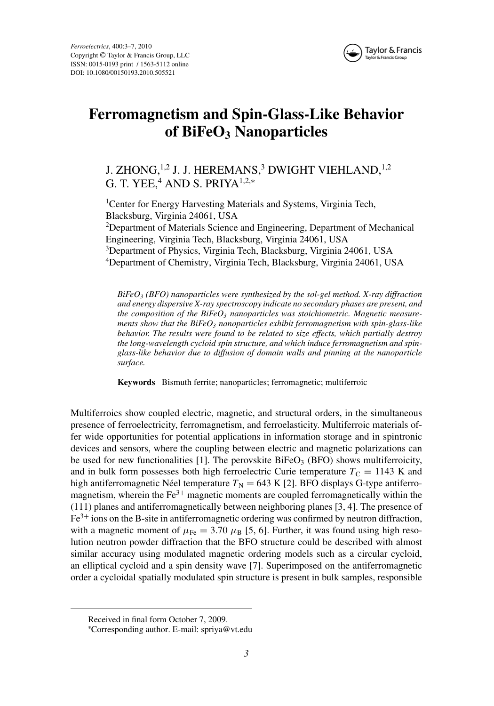

# **Ferromagnetism and Spin-Glass-Like Behavior of BiFeO3 Nanoparticles**

## J. ZHONG,<sup>1,2</sup> J. J. HEREMANS,<sup>3</sup> DWIGHT VIEHLAND,<sup>1,2</sup> G. T. YEE, $4$  AND S. PRIYA<sup>1,2,\*</sup>

<sup>1</sup>Center for Energy Harvesting Materials and Systems, Virginia Tech, Blacksburg, Virginia 24061, USA <sup>2</sup>Department of Materials Science and Engineering, Department of Mechanical Engineering, Virginia Tech, Blacksburg, Virginia 24061, USA 3 Department of Physics, Virginia Tech, Blacksburg, Virginia 24061, USA 4 Department of Chemistry, Virginia Tech, Blacksburg, Virginia 24061, USA

*BiFeO3 (BFO) nanoparticles were synthesized by the sol-gel method. X-ray diffraction and energy dispersive X-ray spectroscopy indicate no secondary phases are present, and* the composition of the  $Bifeo<sub>3</sub>$  *nanoparticles was stoichiometric. Magnetic measurements show that the BiFeO3 nanoparticles exhibit ferromagnetism with spin-glass-like behavior. The results were found to be related to size effects, which partially destroy the long-wavelength cycloid spin structure, and which induce ferromagnetism and spinglass-like behavior due to diffusion of domain walls and pinning at the nanoparticle surface.*

**Keywords** Bismuth ferrite; nanoparticles; ferromagnetic; multiferroic

Multiferroics show coupled electric, magnetic, and structural orders, in the simultaneous presence of ferroelectricity, ferromagnetism, and ferroelasticity. Multiferroic materials offer wide opportunities for potential applications in information storage and in spintronic devices and sensors, where the coupling between electric and magnetic polarizations can be used for new functionalities [1]. The perovskite  $BiFeO<sub>3</sub>$  (BFO) shows multiferroicity, and in bulk form possesses both high ferroelectric Curie temperature  $T<sub>C</sub> = 1143$  K and high antiferromagnetic Néel temperature  $T_N = 643$  K [2]. BFO displays G-type antiferromagnetism, wherein the  $Fe<sup>3+</sup>$  magnetic moments are coupled ferromagnetically within the (111) planes and antiferromagnetically between neighboring planes [3, 4]. The presence of  $Fe<sup>3+</sup>$  ions on the B-site in antiferromagnetic ordering was confirmed by neutron diffraction, with a magnetic moment of  $\mu_{\text{Fe}} = 3.70 \mu_{\text{B}}$  [5, 6]. Further, it was found using high resolution neutron powder diffraction that the BFO structure could be described with almost similar accuracy using modulated magnetic ordering models such as a circular cycloid, an elliptical cycloid and a spin density wave [7]. Superimposed on the antiferromagnetic order a cycloidal spatially modulated spin structure is present in bulk samples, responsible

Received in final form October 7, 2009.

<sup>∗</sup> Corresponding author. E-mail: spriya@vt.edu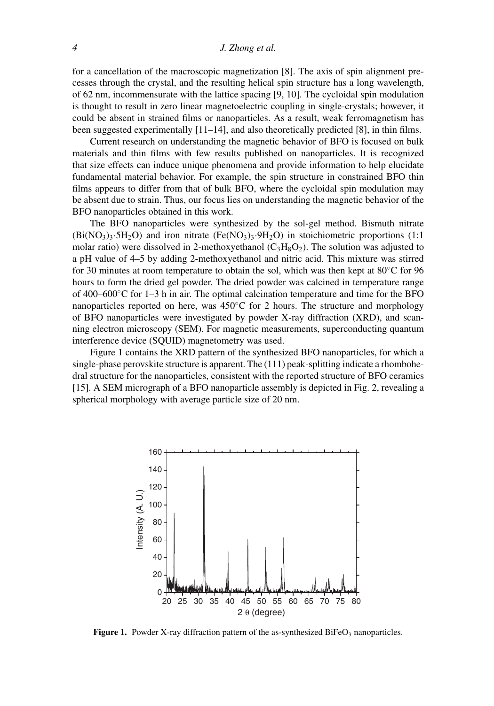#### *4 J. Zhong et al.*

for a cancellation of the macroscopic magnetization [8]. The axis of spin alignment precesses through the crystal, and the resulting helical spin structure has a long wavelength, of 62 nm, incommensurate with the lattice spacing [9, 10]. The cycloidal spin modulation is thought to result in zero linear magnetoelectric coupling in single-crystals; however, it could be absent in strained films or nanoparticles. As a result, weak ferromagnetism has been suggested experimentally [11–14], and also theoretically predicted [8], in thin films.

Current research on understanding the magnetic behavior of BFO is focused on bulk materials and thin films with few results published on nanoparticles. It is recognized that size effects can induce unique phenomena and provide information to help elucidate fundamental material behavior. For example, the spin structure in constrained BFO thin films appears to differ from that of bulk BFO, where the cycloidal spin modulation may be absent due to strain. Thus, our focus lies on understanding the magnetic behavior of the BFO nanoparticles obtained in this work.

The BFO nanoparticles were synthesized by the sol-gel method. Bismuth nitrate  $(Bi(NO<sub>3</sub>)<sub>3</sub>·5H<sub>2</sub>O)$  and iron nitrate  $(Fe(NO<sub>3</sub>)<sub>3</sub>·9H<sub>2</sub>O)$  in stoichiometric proportions (1:1) molar ratio) were dissolved in 2-methoxyethanol  $(C_3H_8O_2)$ . The solution was adjusted to a pH value of 4–5 by adding 2-methoxyethanol and nitric acid. This mixture was stirred for 30 minutes at room temperature to obtain the sol, which was then kept at  $80^{\circ}$ C for 96 hours to form the dried gel powder. The dried powder was calcined in temperature range of  $400-600^{\circ}$ C for 1–3 h in air. The optimal calcination temperature and time for the BFO nanoparticles reported on here, was  $450^{\circ}$ C for 2 hours. The structure and morphology of BFO nanoparticles were investigated by powder X-ray diffraction (XRD), and scanning electron microscopy (SEM). For magnetic measurements, superconducting quantum interference device (SQUID) magnetometry was used.

Figure 1 contains the XRD pattern of the synthesized BFO nanoparticles, for which a single-phase perovskite structure is apparent. The (111) peak-splitting indicate a rhombohedral structure for the nanoparticles, consistent with the reported structure of BFO ceramics [15]. A SEM micrograph of a BFO nanoparticle assembly is depicted in Fig. 2, revealing a spherical morphology with average particle size of 20 nm.



**Figure 1.** Powder X-ray diffraction pattern of the as-synthesized BiFeO<sub>3</sub> nanoparticles.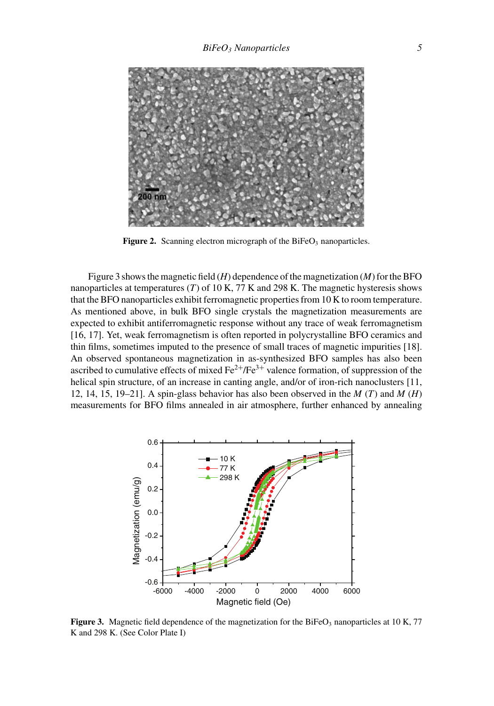

Figure 2. Scanning electron micrograph of the BiFeO<sub>3</sub> nanoparticles.

Figure 3 shows the magnetic field (*H*) dependence of the magnetization (*M*) for the BFO nanoparticles at temperatures (*T*) of 10 K, 77 K and 298 K. The magnetic hysteresis shows that the BFO nanoparticles exhibit ferromagnetic properties from 10 K to room temperature. As mentioned above, in bulk BFO single crystals the magnetization measurements are expected to exhibit antiferromagnetic response without any trace of weak ferromagnetism [16, 17]. Yet, weak ferromagnetism is often reported in polycrystalline BFO ceramics and thin films, sometimes imputed to the presence of small traces of magnetic impurities [18]. An observed spontaneous magnetization in as-synthesized BFO samples has also been ascribed to cumulative effects of mixed  $Fe^{2+}/Fe^{3+}$  valence formation, of suppression of the helical spin structure, of an increase in canting angle, and/or of iron-rich nanoclusters [11, 12, 14, 15, 19–21]. A spin-glass behavior has also been observed in the *M* (*T*) and *M* (*H*) measurements for BFO films annealed in air atmosphere, further enhanced by annealing



**Figure 3.** Magnetic field dependence of the magnetization for the BiFeO<sub>3</sub> nanoparticles at 10 K, 77 K and 298 K. (See Color Plate I)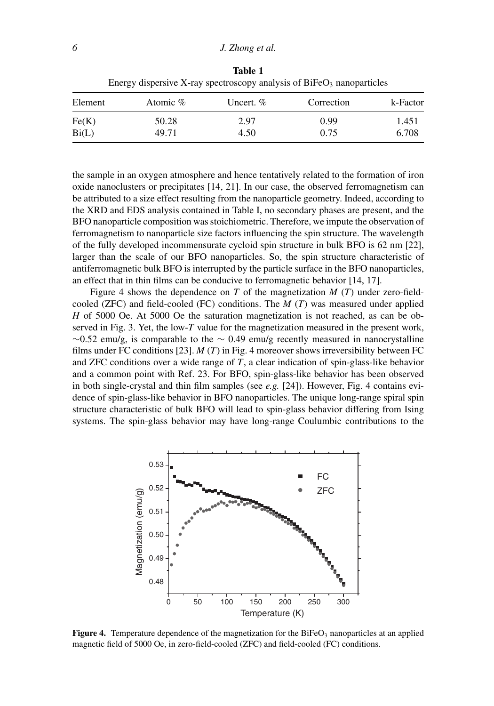| Element | Atomic $\%$ | Uncert. $%$ | Correction | k-Factor |
|---------|-------------|-------------|------------|----------|
| Fe(K)   | 50.28       | 2.97        | 0.99       | 1.451    |
| Bi(L)   | 49.71       | 4.50        | 0.75       | 6.708    |

**Table 1** Energy dispersive X-ray spectroscopy analysis of  $BiFeO<sub>3</sub>$  nanoparticles

the sample in an oxygen atmosphere and hence tentatively related to the formation of iron oxide nanoclusters or precipitates [14, 21]. In our case, the observed ferromagnetism can be attributed to a size effect resulting from the nanoparticle geometry. Indeed, according to the XRD and EDS analysis contained in Table I, no secondary phases are present, and the BFO nanoparticle composition was stoichiometric. Therefore, we impute the observation of ferromagnetism to nanoparticle size factors influencing the spin structure. The wavelength of the fully developed incommensurate cycloid spin structure in bulk BFO is 62 nm [22], larger than the scale of our BFO nanoparticles. So, the spin structure characteristic of antiferromagnetic bulk BFO is interrupted by the particle surface in the BFO nanoparticles, an effect that in thin films can be conducive to ferromagnetic behavior [14, 17].

Figure 4 shows the dependence on *T* of the magnetization *M* (*T*) under zero-fieldcooled (ZFC) and field-cooled (FC) conditions. The *M* (*T*) was measured under applied *H* of 5000 Oe. At 5000 Oe the saturation magnetization is not reached, as can be observed in Fig. 3. Yet, the low-*T* value for the magnetization measured in the present work,  $\sim$ 0.52 emu/g, is comparable to the  $\sim$  0.49 emu/g recently measured in nanocrystalline films under FC conditions [23]. *M* (*T*) in Fig. 4 moreover shows irreversibility between FC and ZFC conditions over a wide range of *T*, a clear indication of spin-glass-like behavior and a common point with Ref. 23. For BFO, spin-glass-like behavior has been observed in both single-crystal and thin film samples (see *e.g.* [24]). However, Fig. 4 contains evidence of spin-glass-like behavior in BFO nanoparticles. The unique long-range spiral spin structure characteristic of bulk BFO will lead to spin-glass behavior differing from Ising systems. The spin-glass behavior may have long-range Coulumbic contributions to the



**Figure 4.** Temperature dependence of the magnetization for the BiFeO<sub>3</sub> nanoparticles at an applied magnetic field of 5000 Oe, in zero-field-cooled (ZFC) and field-cooled (FC) conditions.